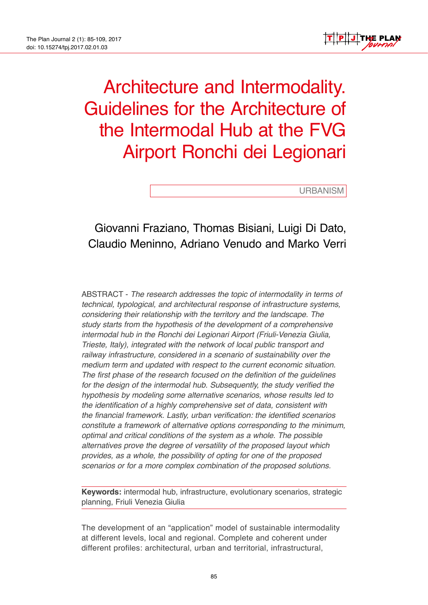

# Architecture and Intermodality. Guidelines for the Architecture of the Intermodal Hub at the FVG Airport Ronchi dei Legionari

URBANISM

# Giovanni Fraziano, Thomas Bisiani, Luigi Di Dato, Claudio Meninno, Adriano Venudo and Marko Verri

ABSTRACT - *The research addresses the topic of intermodality in terms of technical, typological, and architectural response of infrastructure systems, considering their relationship with the territory and the landscape. The study starts from the hypothesis of the development of a comprehensive intermodal hub in the Ronchi dei Legionari Airport (Friuli-Venezia Giulia, Trieste, Italy), integrated with the network of local public transport and railway infrastructure, considered in a scenario of sustainability over the medium term and updated with respect to the current economic situation. The first phase of the research focused on the definition of the guidelines for the design of the intermodal hub. Subsequently, the study verified the hypothesis by modeling some alternative scenarios, whose results led to the identification of a highly comprehensive set of data, consistent with the financial framework. Lastly, urban verification: the identified scenarios constitute a framework of alternative options corresponding to the minimum, optimal and critical conditions of the system as a whole. The possible alternatives prove the degree of versatility of the proposed layout which provides, as a whole, the possibility of opting for one of the proposed scenarios or for a more complex combination of the proposed solutions.*

**Keywords:** intermodal hub, infrastructure, evolutionary scenarios, strategic planning, Friuli Venezia Giulia

The development of an "application" model of sustainable intermodality at different levels, local and regional. Complete and coherent under different profiles: architectural, urban and territorial, infrastructural,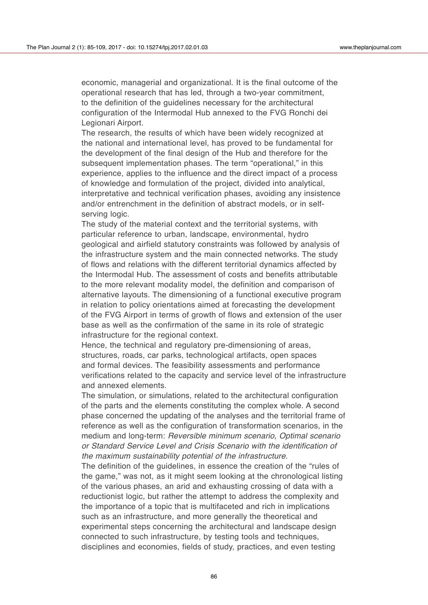economic, managerial and organizational. It is the final outcome of the operational research that has led, through a two-year commitment, to the definition of the guidelines necessary for the architectural configuration of the Intermodal Hub annexed to the FVG Ronchi dei Legionari Airport.

The research, the results of which have been widely recognized at the national and international level, has proved to be fundamental for the development of the final design of the Hub and therefore for the subsequent implementation phases. The term "operational," in this experience, applies to the influence and the direct impact of a process of knowledge and formulation of the project, divided into analytical, interpretative and technical verification phases, avoiding any insistence and/or entrenchment in the definition of abstract models, or in selfserving logic.

The study of the material context and the territorial systems, with particular reference to urban, landscape, environmental, hydro geological and airfield statutory constraints was followed by analysis of the infrastructure system and the main connected networks. The study of flows and relations with the different territorial dynamics affected by the Intermodal Hub. The assessment of costs and benefits attributable to the more relevant modality model, the definition and comparison of alternative layouts. The dimensioning of a functional executive program in relation to policy orientations aimed at forecasting the development of the FVG Airport in terms of growth of flows and extension of the user base as well as the confirmation of the same in its role of strategic infrastructure for the regional context.

Hence, the technical and regulatory pre-dimensioning of areas, structures, roads, car parks, technological artifacts, open spaces and formal devices. The feasibility assessments and performance verifications related to the capacity and service level of the infrastructure and annexed elements.

The simulation, or simulations, related to the architectural configuration of the parts and the elements constituting the complex whole. A second phase concerned the updating of the analyses and the territorial frame of reference as well as the configuration of transformation scenarios, in the medium and long-term: *Reversible minimum scenario, Optimal scenario or Standard Service Level and Crisis Scenario with the identification of the maximum sustainability potential of the infrastructure.* 

The definition of the guidelines, in essence the creation of the "rules of the game," was not, as it might seem looking at the chronological listing of the various phases, an arid and exhausting crossing of data with a reductionist logic, but rather the attempt to address the complexity and the importance of a topic that is multifaceted and rich in implications such as an infrastructure, and more generally the theoretical and experimental steps concerning the architectural and landscape design connected to such infrastructure, by testing tools and techniques, disciplines and economies, fields of study, practices, and even testing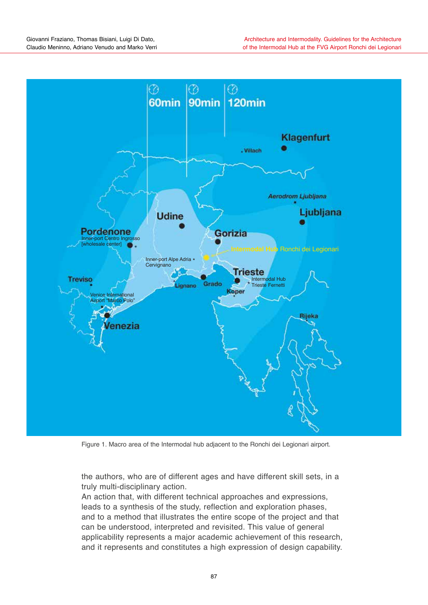

Figure 1. Macro area of the Intermodal hub adjacent to the Ronchi dei Legionari airport.

the authors, who are of different ages and have different skill sets, in a truly multi-disciplinary action.

An action that, with different technical approaches and expressions, leads to a synthesis of the study, reflection and exploration phases, and to a method that illustrates the entire scope of the project and that can be understood, interpreted and revisited. This value of general applicability represents a major academic achievement of this research, and it represents and constitutes a high expression of design capability.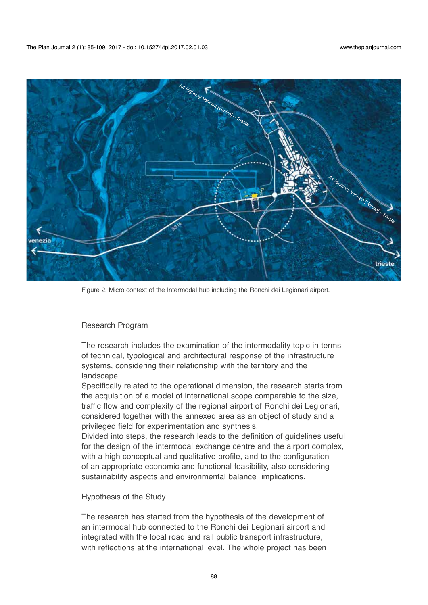

Figure 2. Micro context of the Intermodal hub including the Ronchi dei Legionari airport.

#### Research Program

The research includes the examination of the intermodality topic in terms of technical, typological and architectural response of the infrastructure systems, considering their relationship with the territory and the landscape.

Specifically related to the operational dimension, the research starts from the acquisition of a model of international scope comparable to the size, traffic flow and complexity of the regional airport of Ronchi dei Legionari, considered together with the annexed area as an object of study and a privileged field for experimentation and synthesis.

Divided into steps, the research leads to the definition of guidelines useful for the design of the intermodal exchange centre and the airport complex, with a high conceptual and qualitative profile, and to the configuration of an appropriate economic and functional feasibility, also considering sustainability aspects and environmental balance implications.

Hypothesis of the Study

The research has started from the hypothesis of the development of an intermodal hub connected to the Ronchi dei Legionari airport and integrated with the local road and rail public transport infrastructure, with reflections at the international level. The whole project has been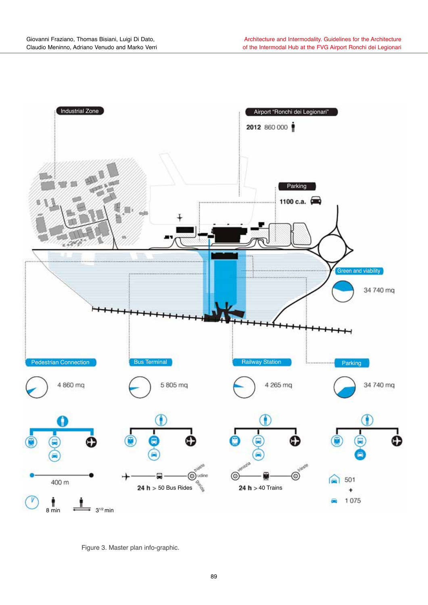

Figure 3. Master plan info-graphic.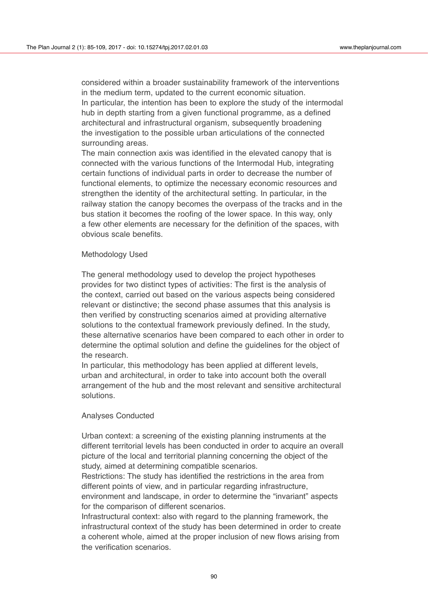considered within a broader sustainability framework of the interventions in the medium term, updated to the current economic situation. In particular, the intention has been to explore the study of the intermodal hub in depth starting from a given functional programme, as a defined architectural and infrastructural organism, subsequently broadening the investigation to the possible urban articulations of the connected surrounding areas.

The main connection axis was identified in the elevated canopy that is connected with the various functions of the Intermodal Hub, integrating certain functions of individual parts in order to decrease the number of functional elements, to optimize the necessary economic resources and strengthen the identity of the architectural setting. In particular, in the railway station the canopy becomes the overpass of the tracks and in the bus station it becomes the roofing of the lower space. In this way, only a few other elements are necessary for the definition of the spaces, with obvious scale benefits.

#### Methodology Used

The general methodology used to develop the project hypotheses provides for two distinct types of activities: The first is the analysis of the context, carried out based on the various aspects being considered relevant or distinctive; the second phase assumes that this analysis is then verified by constructing scenarios aimed at providing alternative solutions to the contextual framework previously defined. In the study, these alternative scenarios have been compared to each other in order to determine the optimal solution and define the guidelines for the object of the research.

In particular, this methodology has been applied at different levels, urban and architectural, in order to take into account both the overall arrangement of the hub and the most relevant and sensitive architectural solutions.

#### Analyses Conducted

Urban context: a screening of the existing planning instruments at the different territorial levels has been conducted in order to acquire an overall picture of the local and territorial planning concerning the object of the study, aimed at determining compatible scenarios.

Restrictions: The study has identified the restrictions in the area from different points of view, and in particular regarding infrastructure, environment and landscape, in order to determine the "invariant" aspects for the comparison of different scenarios.

Infrastructural context: also with regard to the planning framework, the infrastructural context of the study has been determined in order to create a coherent whole, aimed at the proper inclusion of new flows arising from the verification scenarios.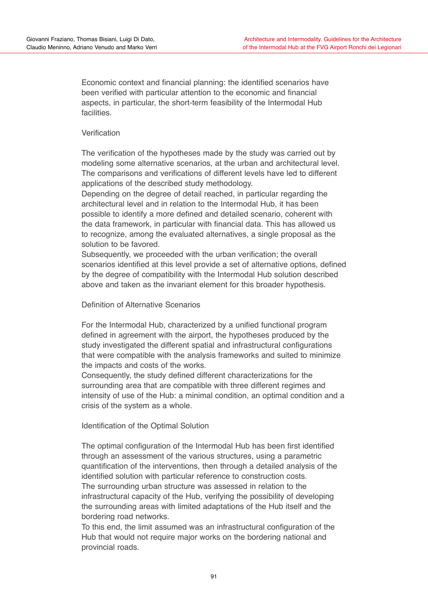Economic context and financial planning: the identified scenarios have been verified with particular attention to the economic and financial aspects, in particular, the short-term feasibility of the Intermodal Hub facilities.

# Verification

The verification of the hypotheses made by the study was carried out by modeling some alternative scenarios, at the urban and architectural level. The comparisons and verifications of different levels have led to different applications of the described study methodology.

Depending on the degree of detail reached, in particular regarding the architectural level and in relation to the Intermodal Hub, it has been possible to identify a more defined and detailed scenario, coherent with the data framework, in particular with financial data. This has allowed us to recognize, among the evaluated alternatives, a single proposal as the solution to be favored.

Subsequently, we proceeded with the urban verification; the overall scenarios identified at this level provide a set of alternative options, defined by the degree of compatibility with the Intermodal Hub solution described above and taken as the invariant element for this broader hypothesis.

# Definition of Alternative Scenarios

For the Intermodal Hub, characterized by a unified functional program defined in agreement with the airport, the hypotheses produced by the study investigated the different spatial and infrastructural configurations that were compatible with the analysis frameworks and suited to minimize the impacts and costs of the works.

Consequently, the study defined different characterizations for the surrounding area that are compatible with three different regimes and intensity of use of the Hub: a minimal condition, an optimal condition and a crisis of the system as a whole.

# Identification of the Optimal Solution

The optimal configuration of the Intermodal Hub has been first identified through an assessment of the various structures, using a parametric quantification of the interventions, then through a detailed analysis of the identified solution with particular reference to construction costs. The surrounding urban structure was assessed in relation to the infrastructural capacity of the Hub, verifying the possibility of developing the surrounding areas with limited adaptations of the Hub itself and the bordering road networks.

To this end, the limit assumed was an infrastructural configuration of the Hub that would not require major works on the bordering national and provincial roads.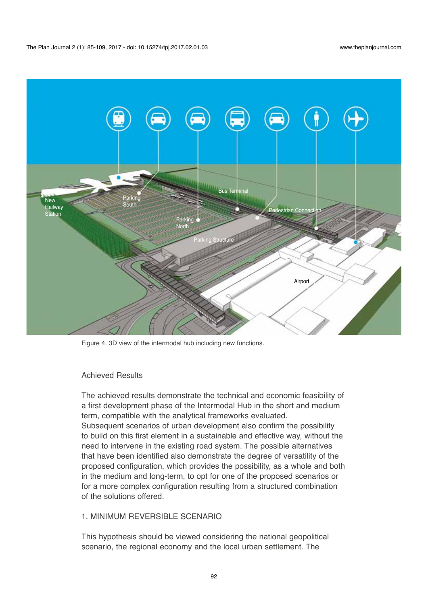

Figure 4. 3D view of the intermodal hub including new functions.

#### Achieved Results

The achieved results demonstrate the technical and economic feasibility of a first development phase of the Intermodal Hub in the short and medium term, compatible with the analytical frameworks evaluated. Subsequent scenarios of urban development also confirm the possibility to build on this first element in a sustainable and effective way, without the need to intervene in the existing road system. The possible alternatives that have been identified also demonstrate the degree of versatility of the proposed configuration, which provides the possibility, as a whole and both in the medium and long-term, to opt for one of the proposed scenarios or for a more complex configuration resulting from a structured combination of the solutions offered.

# 1. MINIMUM REVERSIBLE SCENARIO

This hypothesis should be viewed considering the national geopolitical scenario, the regional economy and the local urban settlement. The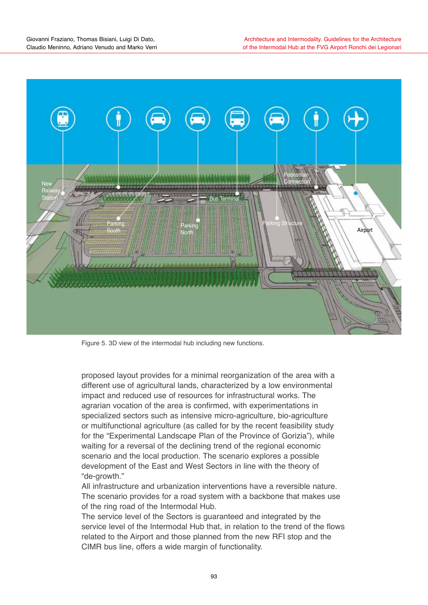

Figure 5. 3D view of the intermodal hub including new functions.

proposed layout provides for a minimal reorganization of the area with a different use of agricultural lands, characterized by a low environmental impact and reduced use of resources for infrastructural works. The agrarian vocation of the area is confirmed, with experimentations in specialized sectors such as intensive micro-agriculture, bio-agriculture or multifunctional agriculture (as called for by the recent feasibility study for the "Experimental Landscape Plan of the Province of Gorizia"), while waiting for a reversal of the declining trend of the regional economic scenario and the local production. The scenario explores a possible development of the East and West Sectors in line with the theory of "de-growth."

All infrastructure and urbanization interventions have a reversible nature. The scenario provides for a road system with a backbone that makes use of the ring road of the Intermodal Hub.

The service level of the Sectors is guaranteed and integrated by the service level of the Intermodal Hub that, in relation to the trend of the flows related to the Airport and those planned from the new RFI stop and the CIMR bus line, offers a wide margin of functionality.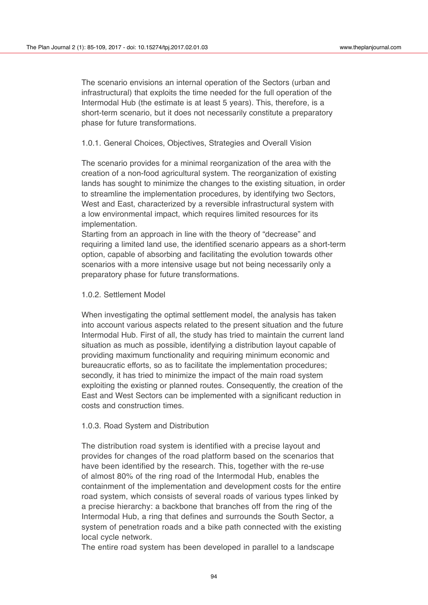The scenario envisions an internal operation of the Sectors (urban and infrastructural) that exploits the time needed for the full operation of the Intermodal Hub (the estimate is at least 5 years). This, therefore, is a short-term scenario, but it does not necessarily constitute a preparatory phase for future transformations.

1.0.1. General Choices, Objectives, Strategies and Overall Vision

The scenario provides for a minimal reorganization of the area with the creation of a non-food agricultural system. The reorganization of existing lands has sought to minimize the changes to the existing situation, in order to streamline the implementation procedures, by identifying two Sectors, West and East, characterized by a reversible infrastructural system with a low environmental impact, which requires limited resources for its implementation.

Starting from an approach in line with the theory of "decrease" and requiring a limited land use, the identified scenario appears as a short-term option, capable of absorbing and facilitating the evolution towards other scenarios with a more intensive usage but not being necessarily only a preparatory phase for future transformations.

#### 1.0.2. Settlement Model

When investigating the optimal settlement model, the analysis has taken into account various aspects related to the present situation and the future Intermodal Hub. First of all, the study has tried to maintain the current land situation as much as possible, identifying a distribution layout capable of providing maximum functionality and requiring minimum economic and bureaucratic efforts, so as to facilitate the implementation procedures; secondly, it has tried to minimize the impact of the main road system exploiting the existing or planned routes. Consequently, the creation of the East and West Sectors can be implemented with a significant reduction in costs and construction times.

#### 1.0.3. Road System and Distribution

The distribution road system is identified with a precise layout and provides for changes of the road platform based on the scenarios that have been identified by the research. This, together with the re-use of almost 80% of the ring road of the Intermodal Hub, enables the containment of the implementation and development costs for the entire road system, which consists of several roads of various types linked by a precise hierarchy: a backbone that branches off from the ring of the Intermodal Hub, a ring that defines and surrounds the South Sector, a system of penetration roads and a bike path connected with the existing local cycle network.

The entire road system has been developed in parallel to a landscape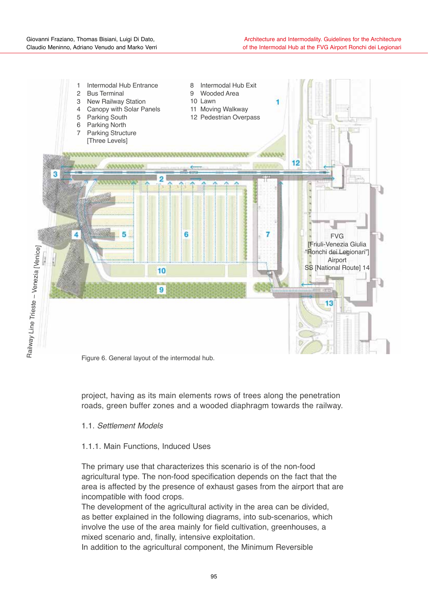

Figure 6. General layout of the intermodal hub.

project, having as its main elements rows of trees along the penetration roads, green buffer zones and a wooded diaphragm towards the railway.

# 1.1. *Settlement Models*

# 1.1.1. Main Functions, Induced Uses

The primary use that characterizes this scenario is of the non-food agricultural type. The non-food specification depends on the fact that the area is affected by the presence of exhaust gases from the airport that are incompatible with food crops.

The development of the agricultural activity in the area can be divided, as better explained in the following diagrams, into sub-scenarios, which involve the use of the area mainly for field cultivation, greenhouses, a mixed scenario and, finally, intensive exploitation.

In addition to the agricultural component, the Minimum Reversible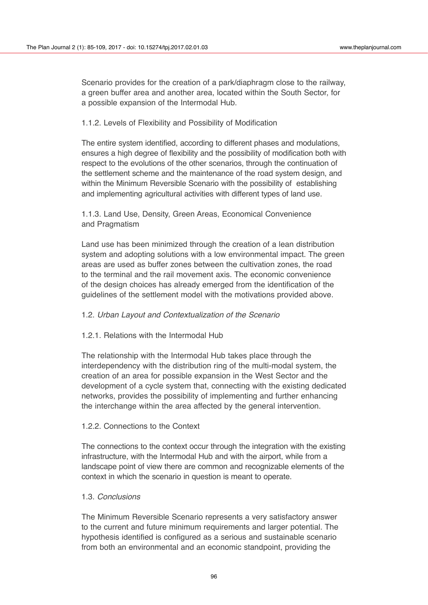Scenario provides for the creation of a park/diaphragm close to the railway, a green buffer area and another area, located within the South Sector, for a possible expansion of the Intermodal Hub.

# 1.1.2. Levels of Flexibility and Possibility of Modification

The entire system identified, according to different phases and modulations, ensures a high degree of flexibility and the possibility of modification both with respect to the evolutions of the other scenarios, through the continuation of the settlement scheme and the maintenance of the road system design, and within the Minimum Reversible Scenario with the possibility of establishing and implementing agricultural activities with different types of land use.

# 1.1.3. Land Use, Density, Green Areas, Economical Convenience and Pragmatism

Land use has been minimized through the creation of a lean distribution system and adopting solutions with a low environmental impact. The green areas are used as buffer zones between the cultivation zones, the road to the terminal and the rail movement axis. The economic convenience of the design choices has already emerged from the identification of the guidelines of the settlement model with the motivations provided above.

# 1.2. *Urban Layout and Contextualization of the Scenario*

# 1.2.1. Relations with the Intermodal Hub

The relationship with the Intermodal Hub takes place through the interdependency with the distribution ring of the multi-modal system, the creation of an area for possible expansion in the West Sector and the development of a cycle system that, connecting with the existing dedicated networks, provides the possibility of implementing and further enhancing the interchange within the area affected by the general intervention.

#### 1.2.2. Connections to the Context

The connections to the context occur through the integration with the existing infrastructure, with the Intermodal Hub and with the airport, while from a landscape point of view there are common and recognizable elements of the context in which the scenario in question is meant to operate.

#### 1.3. *Conclusions*

The Minimum Reversible Scenario represents a very satisfactory answer to the current and future minimum requirements and larger potential. The hypothesis identified is configured as a serious and sustainable scenario from both an environmental and an economic standpoint, providing the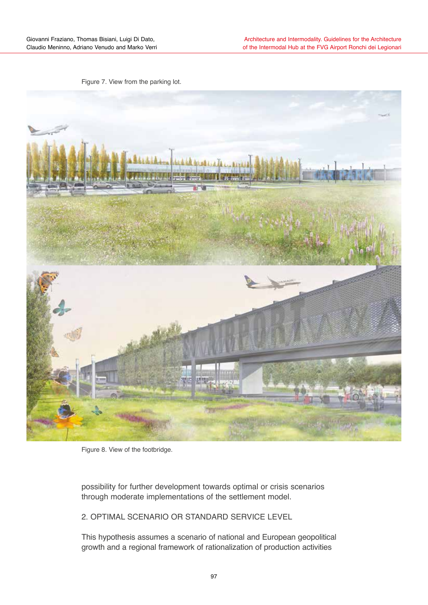Figure 7. View from the parking lot.



Figure 8. View of the footbridge.

possibility for further development towards optimal or crisis scenarios through moderate implementations of the settlement model.

2. OPTIMAL SCENARIO OR STANDARD SERVICE LEVEL

This hypothesis assumes a scenario of national and European geopolitical growth and a regional framework of rationalization of production activities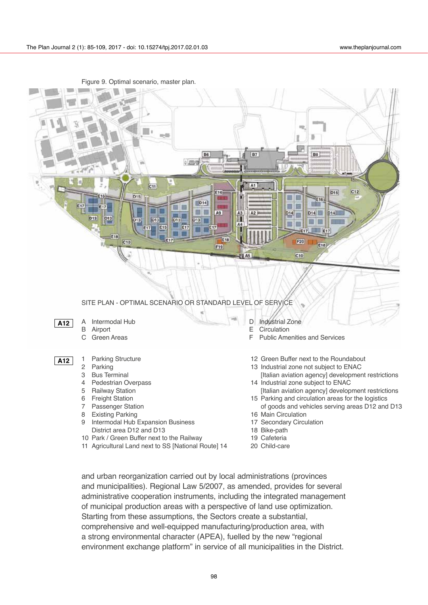

Figure 9. Optimal scenario, master plan.

and urban reorganization carried out by local administrations (provinces and municipalities). Regional Law 5/2007, as amended, provides for several administrative cooperation instruments, including the integrated management of municipal production areas with a perspective of land use optimization. Starting from these assumptions, the Sectors create a substantial, comprehensive and well-equipped manufacturing/production area, with a strong environmental character (APEA), fuelled by the new "regional environment exchange platform" in service of all municipalities in the District.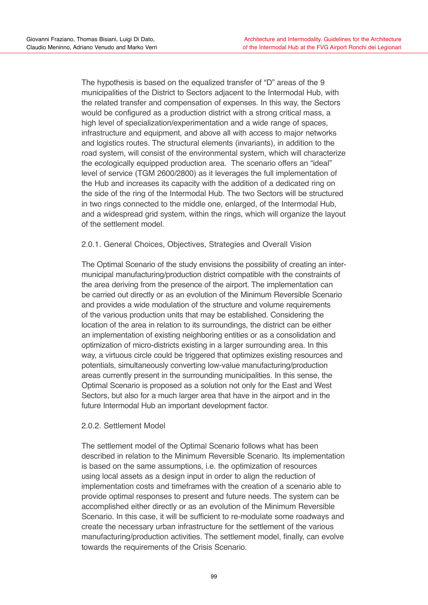The hypothesis is based on the equalized transfer of "D" areas of the 9 municipalities of the District to Sectors adjacent to the Intermodal Hub, with the related transfer and compensation of expenses. In this way, the Sectors would be configured as a production district with a strong critical mass, a high level of specialization/experimentation and a wide range of spaces, infrastructure and equipment, and above all with access to major networks and logistics routes. The structural elements (invariants), in addition to the road system, will consist of the environmental system, which will characterize the ecologically equipped production area. The scenario offers an "ideal" level of service (TGM 2600/2800) as it leverages the full implementation of the Hub and increases its capacity with the addition of a dedicated ring on the side of the ring of the Intermodal Hub. The two Sectors will be structured in two rings connected to the middle one, enlarged, of the Intermodal Hub, and a widespread grid system, within the rings, which will organize the layout of the settlement model.

# 2.0.1. General Choices, Objectives, Strategies and Overall Vision

The Optimal Scenario of the study envisions the possibility of creating an intermunicipal manufacturing/production district compatible with the constraints of the area deriving from the presence of the airport. The implementation can be carried out directly or as an evolution of the Minimum Reversible Scenario and provides a wide modulation of the structure and volume requirements of the various production units that may be established. Considering the location of the area in relation to its surroundings, the district can be either an implementation of existing neighboring entities or as a consolidation and optimization of micro-districts existing in a larger surrounding area. In this way, a virtuous circle could be triggered that optimizes existing resources and potentials, simultaneously converting low-value manufacturing/production areas currently present in the surrounding municipalities. In this sense, the Optimal Scenario is proposed as a solution not only for the East and West Sectors, but also for a much larger area that have in the airport and in the future Intermodal Hub an important development factor.

# 2.0.2. Settlement Model

The settlement model of the Optimal Scenario follows what has been described in relation to the Minimum Reversible Scenario. Its implementation is based on the same assumptions, i.e. the optimization of resources using local assets as a design input in order to align the reduction of implementation costs and timeframes with the creation of a scenario able to provide optimal responses to present and future needs. The system can be accomplished either directly or as an evolution of the Minimum Reversible Scenario. In this case, it will be sufficient to re-modulate some roadways and create the necessary urban infrastructure for the settlement of the various manufacturing/production activities. The settlement model, finally, can evolve towards the requirements of the Crisis Scenario.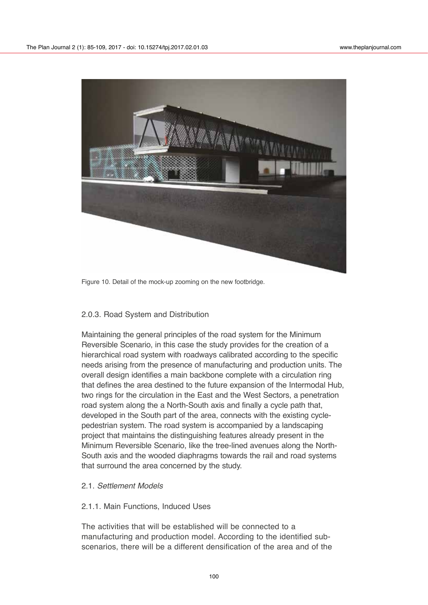

Figure 10. Detail of the mock-up zooming on the new footbridge.

#### 2.0.3. Road System and Distribution

Maintaining the general principles of the road system for the Minimum Reversible Scenario, in this case the study provides for the creation of a hierarchical road system with roadways calibrated according to the specific needs arising from the presence of manufacturing and production units. The overall design identifies a main backbone complete with a circulation ring that defines the area destined to the future expansion of the Intermodal Hub, two rings for the circulation in the East and the West Sectors, a penetration road system along the a North-South axis and finally a cycle path that, developed in the South part of the area, connects with the existing cyclepedestrian system. The road system is accompanied by a landscaping project that maintains the distinguishing features already present in the Minimum Reversible Scenario, like the tree-lined avenues along the North-South axis and the wooded diaphragms towards the rail and road systems that surround the area concerned by the study.

#### 2.1. *Settlement Models*

#### 2.1.1. Main Functions, Induced Uses

The activities that will be established will be connected to a manufacturing and production model. According to the identified subscenarios, there will be a different densification of the area and of the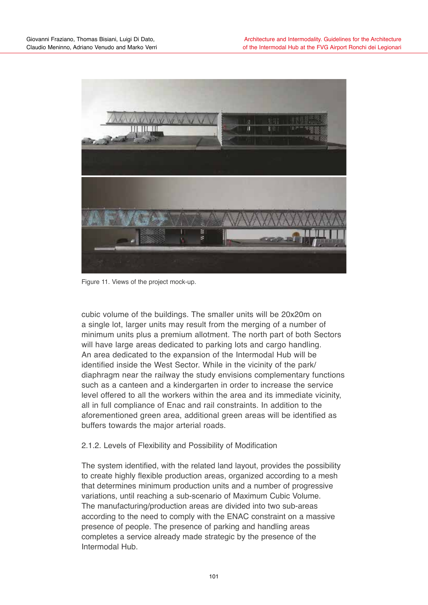

Figure 11. Views of the project mock-up.

cubic volume of the buildings. The smaller units will be 20x20m on a single lot, larger units may result from the merging of a number of minimum units plus a premium allotment. The north part of both Sectors will have large areas dedicated to parking lots and cargo handling. An area dedicated to the expansion of the Intermodal Hub will be identified inside the West Sector. While in the vicinity of the park/ diaphragm near the railway the study envisions complementary functions such as a canteen and a kindergarten in order to increase the service level offered to all the workers within the area and its immediate vicinity, all in full compliance of Enac and rail constraints. In addition to the aforementioned green area, additional green areas will be identified as buffers towards the major arterial roads.

# 2.1.2. Levels of Flexibility and Possibility of Modification

The system identified, with the related land layout, provides the possibility to create highly flexible production areas, organized according to a mesh that determines minimum production units and a number of progressive variations, until reaching a sub-scenario of Maximum Cubic Volume. The manufacturing/production areas are divided into two sub-areas according to the need to comply with the ENAC constraint on a massive presence of people. The presence of parking and handling areas completes a service already made strategic by the presence of the Intermodal Hub.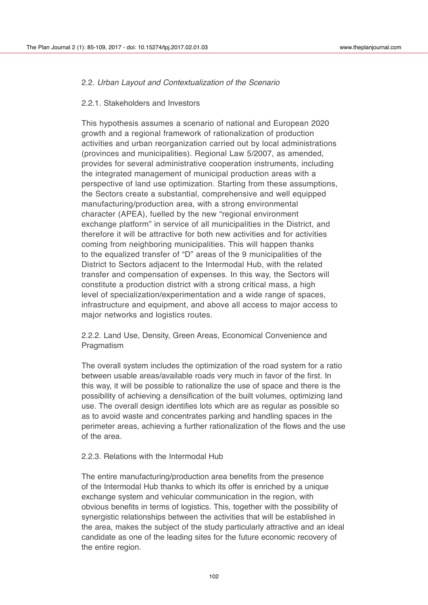# 2.2. *Urban Layout and Contextualization of the Scenario*

#### 2.2.1. Stakeholders and Investors

This hypothesis assumes a scenario of national and European 2020 growth and a regional framework of rationalization of production activities and urban reorganization carried out by local administrations (provinces and municipalities). Regional Law 5/2007, as amended, provides for several administrative cooperation instruments, including the integrated management of municipal production areas with a perspective of land use optimization. Starting from these assumptions, the Sectors create a substantial, comprehensive and well equipped manufacturing/production area, with a strong environmental character (APEA), fuelled by the new "regional environment exchange platform" in service of all municipalities in the District, and therefore it will be attractive for both new activities and for activities coming from neighboring municipalities. This will happen thanks to the equalized transfer of "D" areas of the 9 municipalities of the District to Sectors adjacent to the Intermodal Hub, with the related transfer and compensation of expenses. In this way, the Sectors will constitute a production district with a strong critical mass, a high level of specialization/experimentation and a wide range of spaces, infrastructure and equipment, and above all access to major access to major networks and logistics routes.

2.2.2. Land Use, Density, Green Areas, Economical Convenience and **Pragmatism** 

The overall system includes the optimization of the road system for a ratio between usable areas/available roads very much in favor of the first. In this way, it will be possible to rationalize the use of space and there is the possibility of achieving a densification of the built volumes, optimizing land use. The overall design identifies lots which are as regular as possible so as to avoid waste and concentrates parking and handling spaces in the perimeter areas, achieving a further rationalization of the flows and the use of the area.

#### 2.2.3. Relations with the Intermodal Hub

The entire manufacturing/production area benefits from the presence of the Intermodal Hub thanks to which its offer is enriched by a unique exchange system and vehicular communication in the region, with obvious benefits in terms of logistics. This, together with the possibility of synergistic relationships between the activities that will be established in the area, makes the subject of the study particularly attractive and an ideal candidate as one of the leading sites for the future economic recovery of the entire region.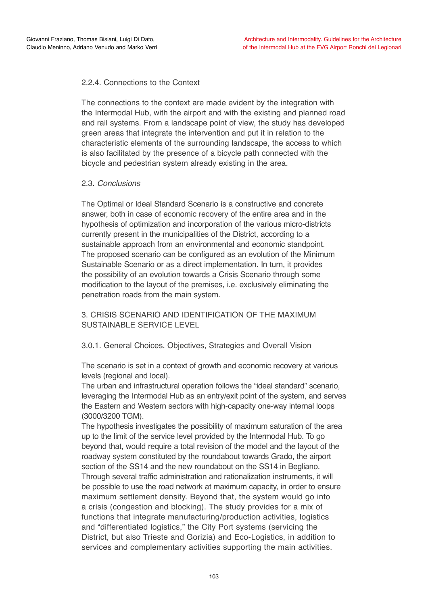# 2.2.4. Connections to the Context

The connections to the context are made evident by the integration with the Intermodal Hub, with the airport and with the existing and planned road and rail systems. From a landscape point of view, the study has developed green areas that integrate the intervention and put it in relation to the characteristic elements of the surrounding landscape, the access to which is also facilitated by the presence of a bicycle path connected with the bicycle and pedestrian system already existing in the area.

# 2.3. *Conclusions*

The Optimal or Ideal Standard Scenario is a constructive and concrete answer, both in case of economic recovery of the entire area and in the hypothesis of optimization and incorporation of the various micro-districts currently present in the municipalities of the District, according to a sustainable approach from an environmental and economic standpoint. The proposed scenario can be configured as an evolution of the Minimum Sustainable Scenario or as a direct implementation. In turn, it provides the possibility of an evolution towards a Crisis Scenario through some modification to the layout of the premises, i.e. exclusively eliminating the penetration roads from the main system.

3. CRISIS SCENARIO AND IDENTIFICATION OF THE MAXIMUM SUSTAINABLE SERVICE LEVEL

# 3.0.1. General Choices, Objectives, Strategies and Overall Vision

The scenario is set in a context of growth and economic recovery at various levels (regional and local).

The urban and infrastructural operation follows the "ideal standard" scenario, leveraging the Intermodal Hub as an entry/exit point of the system, and serves the Eastern and Western sectors with high-capacity one-way internal loops (3000/3200 TGM).

The hypothesis investigates the possibility of maximum saturation of the area up to the limit of the service level provided by the Intermodal Hub. To go beyond that, would require a total revision of the model and the layout of the roadway system constituted by the roundabout towards Grado, the airport section of the SS14 and the new roundabout on the SS14 in Begliano. Through several traffic administration and rationalization instruments, it will be possible to use the road network at maximum capacity, in order to ensure maximum settlement density. Beyond that, the system would go into a crisis (congestion and blocking). The study provides for a mix of functions that integrate manufacturing/production activities, logistics and "differentiated logistics," the City Port systems (servicing the District, but also Trieste and Gorizia) and Eco-Logistics, in addition to services and complementary activities supporting the main activities.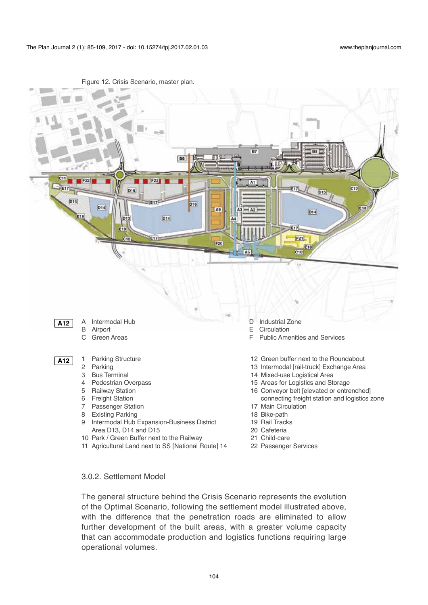

Figure 12. Crisis Scenario, master plan.

10 Park / Green Buffer next to the Railway 11 Agricultural Land next to SS [National Route] 14

- 
- 21 Child-care
- 22 Passenger Services

#### 3.0.2. Settlement Model

The general structure behind the Crisis Scenario represents the evolution of the Optimal Scenario, following the settlement model illustrated above, with the difference that the penetration roads are eliminated to allow further development of the built areas, with a greater volume capacity that can accommodate production and logistics functions requiring large operational volumes.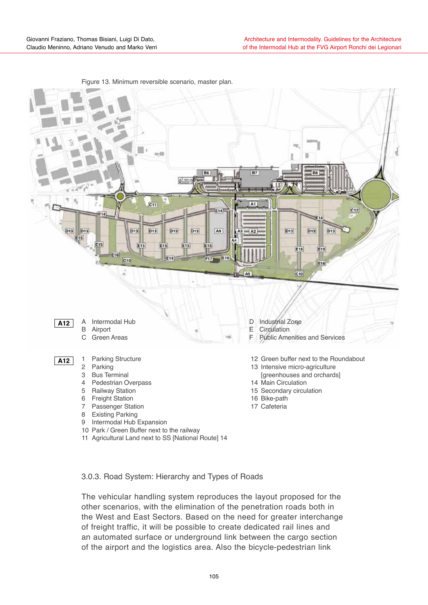

Figure 13. Minimum reversible scenario, master plan.

3.0.3. Road System: Hierarchy and Types of Roads

The vehicular handling system reproduces the layout proposed for the other scenarios, with the elimination of the penetration roads both in the West and East Sectors. Based on the need for greater interchange of freight traffic, it will be possible to create dedicated rail lines and an automated surface or underground link between the cargo section of the airport and the logistics area. Also the bicycle-pedestrian link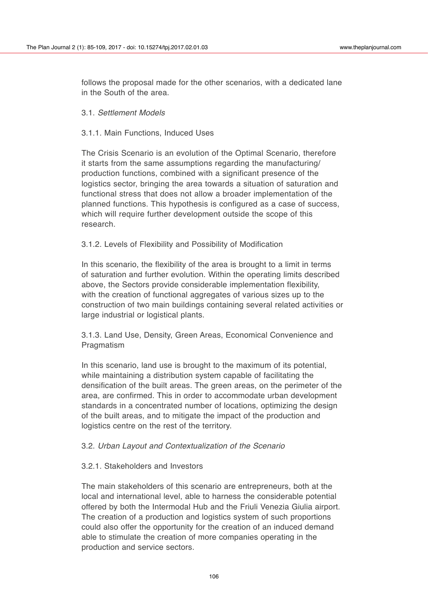follows the proposal made for the other scenarios, with a dedicated lane in the South of the area.

#### 3.1. *Settlement Models*

# 3.1.1. Main Functions, Induced Uses

The Crisis Scenario is an evolution of the Optimal Scenario, therefore it starts from the same assumptions regarding the manufacturing/ production functions, combined with a significant presence of the logistics sector, bringing the area towards a situation of saturation and functional stress that does not allow a broader implementation of the planned functions. This hypothesis is configured as a case of success, which will require further development outside the scope of this research.

3.1.2. Levels of Flexibility and Possibility of Modification

In this scenario, the flexibility of the area is brought to a limit in terms of saturation and further evolution. Within the operating limits described above, the Sectors provide considerable implementation flexibility, with the creation of functional aggregates of various sizes up to the construction of two main buildings containing several related activities or large industrial or logistical plants.

3.1.3. Land Use, Density, Green Areas, Economical Convenience and Pragmatism

In this scenario, land use is brought to the maximum of its potential, while maintaining a distribution system capable of facilitating the densification of the built areas. The green areas, on the perimeter of the area, are confirmed. This in order to accommodate urban development standards in a concentrated number of locations, optimizing the design of the built areas, and to mitigate the impact of the production and logistics centre on the rest of the territory.

# 3.2. *Urban Layout and Contextualization of the Scenario*

#### 3.2.1. Stakeholders and Investors

The main stakeholders of this scenario are entrepreneurs, both at the local and international level, able to harness the considerable potential offered by both the Intermodal Hub and the Friuli Venezia Giulia airport. The creation of a production and logistics system of such proportions could also offer the opportunity for the creation of an induced demand able to stimulate the creation of more companies operating in the production and service sectors.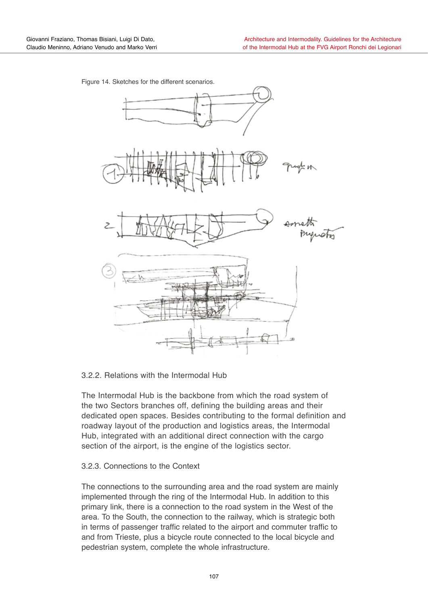

Figure 14. Sketches for the different scenarios.

# 3.2.2. Relations with the Intermodal Hub

The Intermodal Hub is the backbone from which the road system of the two Sectors branches off, defining the building areas and their dedicated open spaces. Besides contributing to the formal definition and roadway layout of the production and logistics areas, the Intermodal Hub, integrated with an additional direct connection with the cargo section of the airport, is the engine of the logistics sector.

#### 3.2.3. Connections to the Context

The connections to the surrounding area and the road system are mainly implemented through the ring of the Intermodal Hub. In addition to this primary link, there is a connection to the road system in the West of the area. To the South, the connection to the railway, which is strategic both in terms of passenger traffic related to the airport and commuter traffic to and from Trieste, plus a bicycle route connected to the local bicycle and pedestrian system, complete the whole infrastructure.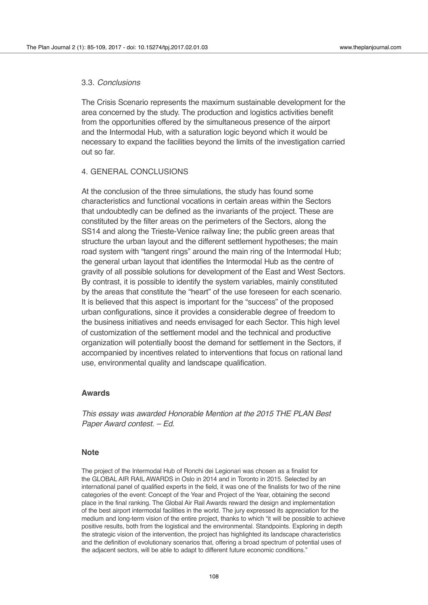#### 3.3. *Conclusions*

The Crisis Scenario represents the maximum sustainable development for the area concerned by the study. The production and logistics activities benefit from the opportunities offered by the simultaneous presence of the airport and the Intermodal Hub, with a saturation logic beyond which it would be necessary to expand the facilities beyond the limits of the investigation carried out so far.

#### 4. GENERAL CONCLUSIONS

At the conclusion of the three simulations, the study has found some characteristics and functional vocations in certain areas within the Sectors that undoubtedly can be defined as the invariants of the project. These are constituted by the filter areas on the perimeters of the Sectors, along the SS14 and along the Trieste-Venice railway line; the public green areas that structure the urban layout and the different settlement hypotheses; the main road system with "tangent rings" around the main ring of the Intermodal Hub; the general urban layout that identifies the Intermodal Hub as the centre of gravity of all possible solutions for development of the East and West Sectors. By contrast, it is possible to identify the system variables, mainly constituted by the areas that constitute the "heart" of the use foreseen for each scenario. It is believed that this aspect is important for the "success" of the proposed urban configurations, since it provides a considerable degree of freedom to the business initiatives and needs envisaged for each Sector. This high level of customization of the settlement model and the technical and productive organization will potentially boost the demand for settlement in the Sectors, if accompanied by incentives related to interventions that focus on rational land use, environmental quality and landscape qualification.

#### **Awards**

*This essay was awarded Honorable Mention at the 2015 THE PLAN Best Paper Award contest. – Ed.*

#### **Note**

The project of the Intermodal Hub of Ronchi dei Legionari was chosen as a finalist for the GLOBAL AIR RAIL AWARDS in Oslo in 2014 and in Toronto in 2015. Selected by an international panel of qualified experts in the field, it was one of the finalists for two of the nine categories of the event: Concept of the Year and Project of the Year, obtaining the second place in the final ranking. The Global Air Rail Awards reward the design and implementation of the best airport intermodal facilities in the world. The jury expressed its appreciation for the medium and long-term vision of the entire project, thanks to which "it will be possible to achieve positive results, both from the logistical and the environmental. Standpoints. Exploring in depth the strategic vision of the intervention, the project has highlighted its landscape characteristics and the definition of evolutionary scenarios that, offering a broad spectrum of potential uses of the adjacent sectors, will be able to adapt to different future economic conditions."